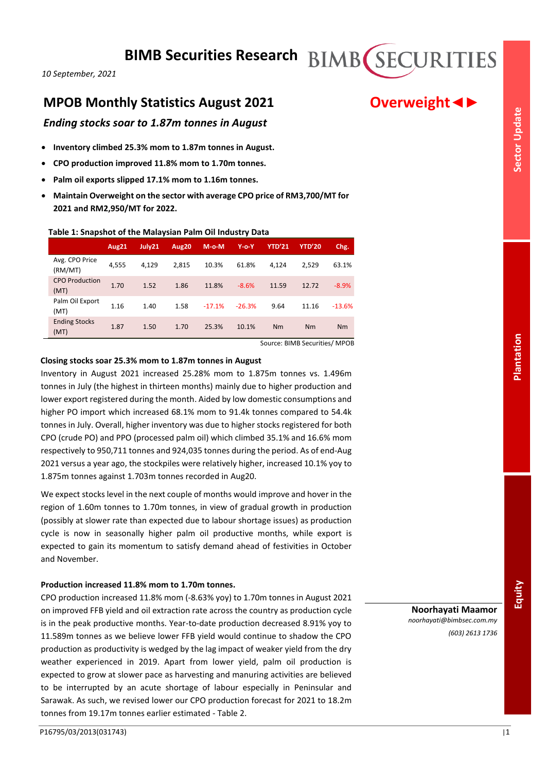# **MPOB Monthly Statistics August 2021 Overweight**

# *Ending stocks soar to 1.87m tonnes in August*

- **Inventory climbed 25.3% mom to 1.87m tonnes in August.**
- **CPO production improved 11.8% mom to 1.70m tonnes.**
- **Palm oil exports slipped 17.1% mom to 1.16m tonnes.**
- **Maintain Overweight on the sector with average CPO price of RM3,700/MT for 2021 and RM2,950/MT for 2022.**

# **Table 1: Snapshot of the Malaysian Palm Oil Industry Data**

|                               | Aug21 | July21 | Aug20 | $M-o-M$  | $Y$ -o- $Y$ | <b>YTD'21</b> | <b>YTD'20</b> | Chg.     |
|-------------------------------|-------|--------|-------|----------|-------------|---------------|---------------|----------|
| Avg. CPO Price<br>(RM/MT)     | 4,555 | 4.129  | 2,815 | 10.3%    | 61.8%       | 4.124         | 2.529         | 63.1%    |
| <b>CPO Production</b><br>(MT) | 1.70  | 1.52   | 1.86  | 11.8%    | $-8.6%$     | 11.59         | 12.72         | $-8.9%$  |
| Palm Oil Export<br>(MT)       | 1.16  | 1.40   | 1.58  | $-17.1%$ | $-26.3%$    | 9.64          | 11.16         | $-13.6%$ |
| <b>Ending Stocks</b><br>(MT)  | 1.87  | 1.50   | 1.70  | 25.3%    | 10.1%       | Nm            | Nm            | Nm       |

Source: BIMB Securities/ MPOB

## **Closing stocks soar 25.3% mom to 1.87m tonnes in August**

Inventory in August 2021 increased 25.28% mom to 1.875m tonnes vs. 1.496m tonnes in July (the highest in thirteen months) mainly due to higher production and lower export registered during the month. Aided by low domestic consumptions and higher PO import which increased 68.1% mom to 91.4k tonnes compared to 54.4k tonnes in July. Overall, higher inventory was due to higher stocks registered for both CPO (crude PO) and PPO (processed palm oil) which climbed 35.1% and 16.6% mom respectively to 950,711 tonnes and 924,035 tonnes during the period. As of end-Aug 2021 versus a year ago, the stockpiles were relatively higher, increased 10.1% yoy to 1.875m tonnes against 1.703m tonnes recorded in Aug20.

We expect stocks level in the next couple of months would improve and hover in the region of 1.60m tonnes to 1.70m tonnes, in view of gradual growth in production (possibly at slower rate than expected due to labour shortage issues) as production cycle is now in seasonally higher palm oil productive months, while export is expected to gain its momentum to satisfy demand ahead of festivities in October and November.

# **Production increased 11.8% mom to 1.70m tonnes.**

CPO production increased 11.8% mom (-8.63% yoy) to 1.70m tonnes in August 2021 on improved FFB yield and oil extraction rate across the country as production cycle is in the peak productive months. Year-to-date production decreased 8.91% yoy to 11.589m tonnes as we believe lower FFB yield would continue to shadow the CPO production as productivity is wedged by the lag impact of weaker yield from the dry weather experienced in 2019. Apart from lower yield, palm oil production is expected to grow at slower pace as harvesting and manuring activities are believed to be interrupted by an acute shortage of labour especially in Peninsular and Sarawak. As such, we revised lower our CPO production forecast for 2021 to 18.2m tonnes from 19.17m tonnes earlier estimated - Table 2.

*noorhayati@bimbsec.com.my (603) 2613 1736*

**Noorhayati Maamor**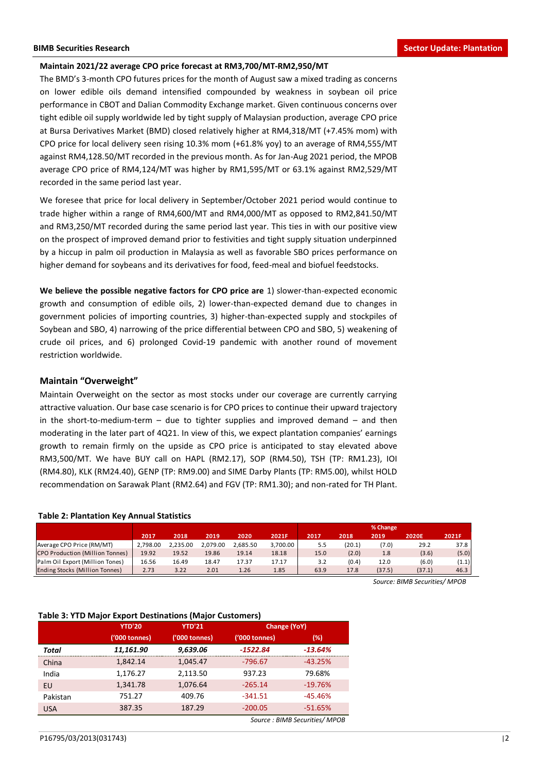#### **Maintain 2021/22 average CPO price forecast at RM3,700/MT-RM2,950/MT**

The BMD's 3-month CPO futures prices for the month of August saw a mixed trading as concerns on lower edible oils demand intensified compounded by weakness in soybean oil price performance in CBOT and Dalian Commodity Exchange market. Given continuous concerns over tight edible oil supply worldwide led by tight supply of Malaysian production, average CPO price at Bursa Derivatives Market (BMD) closed relatively higher at RM4,318/MT (+7.45% mom) with CPO price for local delivery seen rising 10.3% mom (+61.8% yoy) to an average of RM4,555/MT against RM4,128.50/MT recorded in the previous month. As for Jan-Aug 2021 period, the MPOB average CPO price of RM4,124/MT was higher by RM1,595/MT or 63.1% against RM2,529/MT recorded in the same period last year.

We foresee that price for local delivery in September/October 2021 period would continue to trade higher within a range of RM4,600/MT and RM4,000/MT as opposed to RM2,841.50/MT and RM3,250/MT recorded during the same period last year. This ties in with our positive view on the prospect of improved demand prior to festivities and tight supply situation underpinned by a hiccup in palm oil production in Malaysia as well as favorable SBO prices performance on higher demand for soybeans and its derivatives for food, feed-meal and biofuel feedstocks.

**We believe the possible negative factors for CPO price are** 1) slower-than-expected economic growth and consumption of edible oils, 2) lower-than-expected demand due to changes in government policies of importing countries, 3) higher-than-expected supply and stockpiles of Soybean and SBO, 4) narrowing of the price differential between CPO and SBO, 5) weakening of crude oil prices, and 6) prolonged Covid-19 pandemic with another round of movement restriction worldwide.

### **Maintain "Overweight"**

Maintain Overweight on the sector as most stocks under our coverage are currently carrying attractive valuation. Our base case scenario is for CPO prices to continue their upward trajectory in the short-to-medium-term  $-$  due to tighter supplies and improved demand  $-$  and then moderating in the later part of 4Q21. In view of this, we expect plantation companies' earnings growth to remain firmly on the upside as CPO price is anticipated to stay elevated above RM3,500/MT. We have BUY call on HAPL (RM2.17), SOP (RM4.50), TSH (TP: RM1.23), IOI (RM4.80), KLK (RM24.40), GENP (TP: RM9.00) and SIME Darby Plants (TP: RM5.00), whilst HOLD recommendation on Sarawak Plant (RM2.64) and FGV (TP: RM1.30); and non-rated for TH Plant.

#### **Table 2: Plantation Key Annual Statistics**

|                                        |          |          |          |          |          |      |        | % Change |              |       |
|----------------------------------------|----------|----------|----------|----------|----------|------|--------|----------|--------------|-------|
|                                        | 2017     | 2018     | 2019     | 2020     | 2021F    | 2017 | 2018   | 2019     | <b>2020E</b> | 2021F |
| Average CPO Price (RM/MT)              | 2.798.00 | 2.235.00 | 2.079.00 | 2.685.50 | 3,700.00 | 5.5  | (20.1) | (7.0)    | 29.2         | 37.8  |
| <b>CPO Production (Million Tonnes)</b> | 19.92    | 19.52    | 19.86    | 19.14    | 18.18    | 15.0 | (2.0)  | 1.8      | (3.6)        | (5.0) |
| Palm Oil Export (Million Tones)        | 16.56    | 16.49    | 18.47    | 17.37    | 17.17    | 3.2  | (0.4)  | 12.0     | (6.0)        | (1.1) |
| <b>Ending Stocks (Million Tonnes)</b>  | 2.73     | 3.22     | 2.01     | 1.26     | 1.85     | 63.9 | 17.8   | (37.5)   | (37.1)       | 46.3  |

*Source: BIMB Securities/ MPOB*

#### **Table 3: YTD Major Export Destinations (Major Customers)**

|                                                                 | 2017     | 2018          | 2019     | 2020          | 2021F        | 2017                          | 2018   | 2019   | 2020E                        | 2021F |
|-----------------------------------------------------------------|----------|---------------|----------|---------------|--------------|-------------------------------|--------|--------|------------------------------|-------|
| Average CPO Price (RM/MT)                                       | 2,798.00 | 2,235.00      | 2,079.00 | 2,685.50      | 3,700.00     | 5.5                           | (20.1) | (7.0)  | 29.2                         | 37    |
| CPO Production (Million Tonnes)                                 | 19.92    | 19.52         | 19.86    | 19.14         | 18.18        | 15.0                          | (2.0)  | 1.8    | (3.6)                        | (5    |
| Palm Oil Export (Million Tones)                                 | 16.56    | 16.49         | 18.47    | 17.37         | 17.17        | 3.2                           | (0.4)  | 12.0   | (6.0)                        | (1)   |
| Ending Stocks (Million Tonnes)                                  | 2.73     | 3.22          | 2.01     | 1.26          | 1.85         | 63.9                          | 17.8   | (37.5) | (37.1)                       | 46    |
| <b>Table 3: YTD Major Export Destinations (Major Customers)</b> |          |               |          |               |              |                               |        |        | Source: BIMB Securities/ MPO |       |
| <b>YTD'20</b>                                                   |          | <b>YTD'21</b> |          |               | Change (YoY) |                               |        |        |                              |       |
| ('000 tonnes)                                                   |          | ('000 tonnes) |          | ('000 tonnes) |              | (%)                           |        |        |                              |       |
| 11,161.90<br>Total                                              |          | 9,639.06      |          | $-1522.84$    |              | $-13.64%$                     |        |        |                              |       |
| 1,842.14<br>China                                               |          | 1,045.47      |          | $-796.67$     |              | $-43.25%$                     |        |        |                              |       |
| 1,176.27<br>India                                               |          | 2,113.50      |          | 937.23        |              | 79.68%                        |        |        |                              |       |
| 1,341.78<br><b>EU</b>                                           |          | 1,076.64      |          | $-265.14$     |              | $-19.76%$                     |        |        |                              |       |
| 751.27<br>Pakistan                                              |          | 409.76        |          | $-341.51$     |              | $-45.46%$                     |        |        |                              |       |
| 387.35<br><b>USA</b>                                            |          | 187.29        |          | $-200.05$     |              | $-51.65%$                     |        |        |                              |       |
|                                                                 |          |               |          |               |              | Source: BIMB Securities/ MPOB |        |        |                              |       |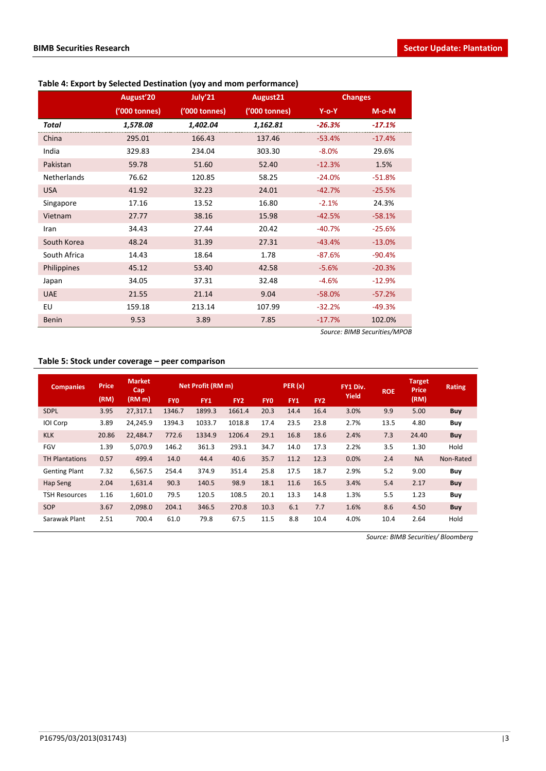|              | August'20     | July'21       | August21      |             | <b>Changes</b>               |
|--------------|---------------|---------------|---------------|-------------|------------------------------|
|              | ('000 tonnes) | ('000 tonnes) | ('000 tonnes) | $Y$ -o- $Y$ | $M$ -o- $M$                  |
| Total        | 1,578.08      | 1,402.04      | 1,162.81      | $-26.3%$    | $-17.1%$                     |
| China        | 295.01        | 166.43        | 137.46        | $-53.4%$    | $-17.4%$                     |
| India        | 329.83        | 234.04        | 303.30        | $-8.0%$     | 29.6%                        |
| Pakistan     | 59.78         | 51.60         | 52.40         | $-12.3%$    | 1.5%                         |
| Netherlands  | 76.62         | 120.85        | 58.25         | $-24.0%$    | $-51.8%$                     |
| <b>USA</b>   | 41.92         | 32.23         | 24.01         | $-42.7%$    | $-25.5%$                     |
| Singapore    | 17.16         | 13.52         | 16.80         | $-2.1%$     | 24.3%                        |
| Vietnam      | 27.77         | 38.16         | 15.98         | $-42.5%$    | $-58.1%$                     |
| Iran         | 34.43         | 27.44         | 20.42         | $-40.7%$    | $-25.6%$                     |
| South Korea  | 48.24         | 31.39         | 27.31         | $-43.4%$    | $-13.0%$                     |
| South Africa | 14.43         | 18.64         | 1.78          | $-87.6%$    | $-90.4%$                     |
| Philippines  | 45.12         | 53.40         | 42.58         | $-5.6%$     | $-20.3%$                     |
| Japan        | 34.05         | 37.31         | 32.48         | $-4.6%$     | $-12.9%$                     |
| <b>UAE</b>   | 21.55         | 21.14         | 9.04          | $-58.0%$    | $-57.2%$                     |
| EU           | 159.18        | 213.14        | 107.99        | $-32.2%$    | $-49.3%$                     |
| <b>Benin</b> | 9.53          | 3.89          | 7.85          | $-17.7%$    | 102.0%                       |
|              |               |               |               |             | Source: BIMB Securities/MPOB |

# **Table 4: Export by Selected Destination (yoy and mom performance)**

## **Table 5: Stock under coverage – peer comparison**

| <b>Companies</b>      | <b>Price</b> | <b>Market</b><br>Cap |            | Net Profit (RM m) |                 |            | PER(x)     |                 | FY1 Div. | <b>ROE</b> | <b>Target</b><br><b>Price</b> | <b>Rating</b> |
|-----------------------|--------------|----------------------|------------|-------------------|-----------------|------------|------------|-----------------|----------|------------|-------------------------------|---------------|
|                       | (RM)         | (RM m)               | <b>FYO</b> | FY1               | FY <sub>2</sub> | <b>FYO</b> | <b>FY1</b> | FY <sub>2</sub> | Yield    |            | (RM)                          |               |
| <b>SDPL</b>           | 3.95         | 27,317.1             | 1346.7     | 1899.3            | 1661.4          | 20.3       | 14.4       | 16.4            | 3.0%     | 9.9        | 5.00                          | <b>Buy</b>    |
| IOI Corp              | 3.89         | 24,245.9             | 1394.3     | 1033.7            | 1018.8          | 17.4       | 23.5       | 23.8            | 2.7%     | 13.5       | 4.80                          | Buy           |
| <b>KLK</b>            | 20.86        | 22.484.7             | 772.6      | 1334.9            | 1206.4          | 29.1       | 16.8       | 18.6            | 2.4%     | 7.3        | 24.40                         | Buy           |
| <b>FGV</b>            | 1.39         | 5.070.9              | 146.2      | 361.3             | 293.1           | 34.7       | 14.0       | 17.3            | 2.2%     | 3.5        | 1.30                          | Hold          |
| <b>TH Plantations</b> | 0.57         | 499.4                | 14.0       | 44.4              | 40.6            | 35.7       | 11.2       | 12.3            | 0.0%     | 2.4        | <b>NA</b>                     | Non-Rated     |
| <b>Genting Plant</b>  | 7.32         | 6,567.5              | 254.4      | 374.9             | 351.4           | 25.8       | 17.5       | 18.7            | 2.9%     | 5.2        | 9.00                          | Buy           |
| Hap Seng              | 2.04         | 1,631.4              | 90.3       | 140.5             | 98.9            | 18.1       | 11.6       | 16.5            | 3.4%     | 5.4        | 2.17                          | <b>Buy</b>    |
| <b>TSH Resources</b>  | 1.16         | 1,601.0              | 79.5       | 120.5             | 108.5           | 20.1       | 13.3       | 14.8            | 1.3%     | 5.5        | 1.23                          | Buy           |
| SOP                   | 3.67         | 2.098.0              | 204.1      | 346.5             | 270.8           | 10.3       | 6.1        | 7.7             | 1.6%     | 8.6        | 4.50                          | Buy           |
| Sarawak Plant         | 2.51         | 700.4                | 61.0       | 79.8              | 67.5            | 11.5       | 8.8        | 10.4            | 4.0%     | 10.4       | 2.64                          | Hold          |

*Source: BIMB Securities/ Bloomberg*